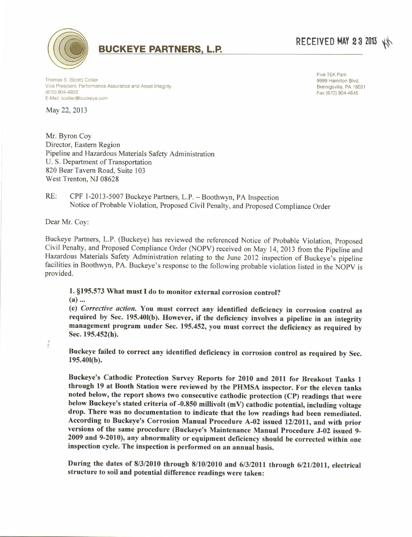

## **BUCKEYE PARTNERS, L.P.**

## RECEIVED MAY 23 2013

Thomas S. (Scott) Collier Vice President, Performance Assurance and Asset Integrity  $(610)$  904-4922 E-Mail: tcollier@buckeye.com

May 22, 2013

Mr. Byron Coy Director, Eastern Region Pipeline and Hazardous Materials Safety Administration U. S. Department of Transportation 820 Bear Tavern Road, Suite 103 West Trenton, NJ 08628

Five TEK Park 9999 Hamilton Blvd. Breinigsville, PA 18031 Fax (610) 904-4645

RE: CPF 1-2013-5007 Buckeye Partners, L.P. - Boothwyn, PA Inspection Notice of Probable Violation, Proposed Civil Penalty, and Proposed Compliance Order

Dear Mr. Cov:

Buckeye Partners, L.P. (Buckeye) has reviewed the referenced Notice of Probable Violation, Proposed Civil Penalty, and Proposed Compliance Order (NOPV) received on May 14, 2013 from the Pipeline and Hazardous Materials Safety Administration relating to the June 2012 inspection of Buckeye's pipeline facilities in Boothwyn, PA. Buckeye's response to the following probable violation listed in the NOPV is provided.

1. §195.573 What must I do to monitor external corrosion control?

 $(a)$ ...

(e) Corrective action. You must correct any identified deficiency in corrosion control as required by Sec. 195.401(b). However, if the deficiency involves a pipeline in an integrity management program under Sec. 195.452, you must correct the deficiency as required by Sec. 195.452(h).

Buckeye failed to correct any identified deficiency in corrosion control as required by Sec.  $195.401(b).$ 

Buckeye's Cathodic Protection Survey Reports for 2010 and 2011 for Breakout Tanks 1 through 19 at Booth Station were reviewed by the PHMSA inspector. For the eleven tanks noted below, the report shows two consecutive cathodic protection (CP) readings that were below Buckeye's stated criteria of -0.850 millivolt (mV) cathodic potential, including voltage drop. There was no documentation to indicate that the low readings had been remediated. According to Buckeye's Corrosion Manual Procedure A-02 issued 12/2011, and with prior versions of the same procedure (Buckeye's Maintenance Manual Procedure J-02 issued 9-2009 and 9-2010), any abnormality or equipment deficiency should be corrected within one inspection cycle. The inspection is performed on an annual basis.

During the dates of 8/3/2010 through 8/10/2010 and 6/3/2011 through 6/21/2011, electrical structure to soil and potential difference readings were taken: